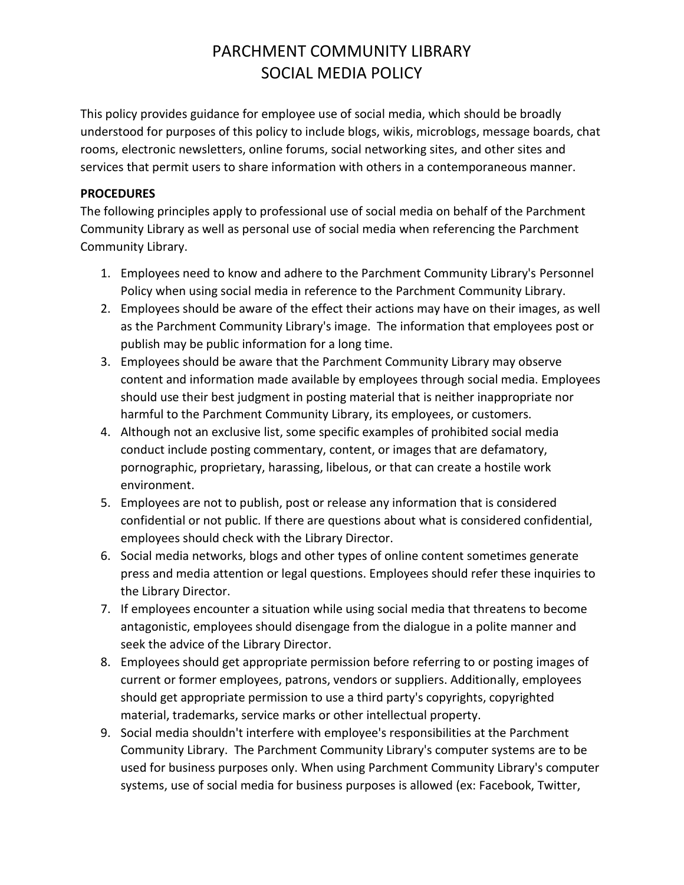## PARCHMENT COMMUNITY LIBRARY SOCIAL MEDIA POLICY

This policy provides guidance for employee use of social media, which should be broadly understood for purposes of this policy to include blogs, wikis, microblogs, message boards, chat rooms, electronic newsletters, online forums, social networking sites, and other sites and services that permit users to share information with others in a contemporaneous manner.

## **PROCEDURES**

The following principles apply to professional use of social media on behalf of the Parchment Community Library as well as personal use of social media when referencing the Parchment Community Library.

- 1. Employees need to know and adhere to the Parchment Community Library's Personnel Policy when using social media in reference to the Parchment Community Library.
- 2. Employees should be aware of the effect their actions may have on their images, as well as the Parchment Community Library's image. The information that employees post or publish may be public information for a long time.
- 3. Employees should be aware that the Parchment Community Library may observe content and information made available by employees through social media. Employees should use their best judgment in posting material that is neither inappropriate nor harmful to the Parchment Community Library, its employees, or customers.
- 4. Although not an exclusive list, some specific examples of prohibited social media conduct include posting commentary, content, or images that are defamatory, pornographic, proprietary, harassing, libelous, or that can create a hostile work environment.
- 5. Employees are not to publish, post or release any information that is considered confidential or not public. If there are questions about what is considered confidential, employees should check with the Library Director.
- 6. Social media networks, blogs and other types of online content sometimes generate press and media attention or legal questions. Employees should refer these inquiries to the Library Director.
- 7. If employees encounter a situation while using social media that threatens to become antagonistic, employees should disengage from the dialogue in a polite manner and seek the advice of the Library Director.
- 8. Employees should get appropriate permission before referring to or posting images of current or former employees, patrons, vendors or suppliers. Additionally, employees should get appropriate permission to use a third party's copyrights, copyrighted material, trademarks, service marks or other intellectual property.
- 9. Social media shouldn't interfere with employee's responsibilities at the Parchment Community Library. The Parchment Community Library's computer systems are to be used for business purposes only. When using Parchment Community Library's computer systems, use of social media for business purposes is allowed (ex: Facebook, Twitter,